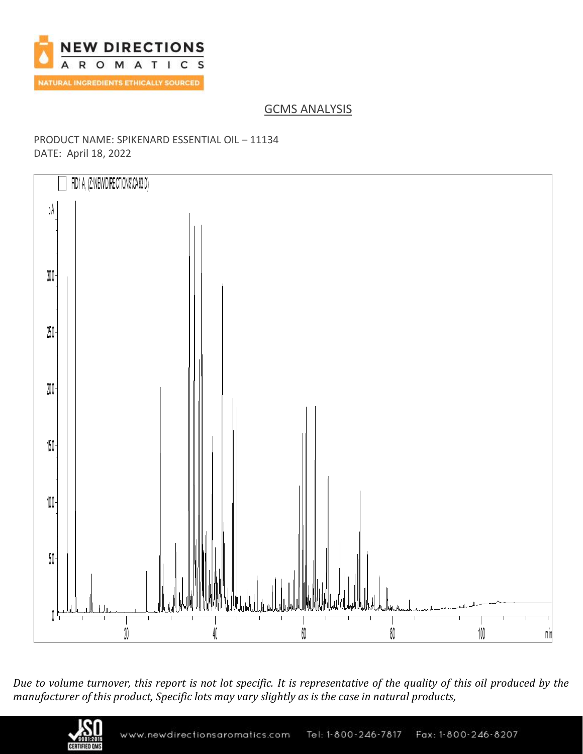

# GCMS ANALYSIS

### PRODUCT NAME: SPIKENARD ESSENTIAL OIL – 11134 DATE: April 18, 2022



*Due to volume turnover, this report is not lot specific. It is representative of the quality of this oil produced by the manufacturer of this product, Specific lots may vary slightly as is the case in natural products,*

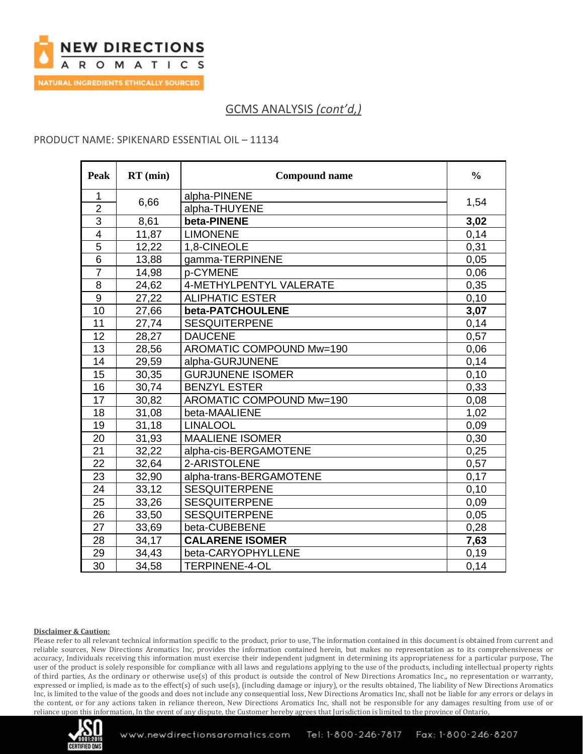

### PRODUCT NAME: SPIKENARD ESSENTIAL OIL – 11134

| Peak            | $RT$ (min) | <b>Compound name</b>     | $\frac{0}{0}$ |
|-----------------|------------|--------------------------|---------------|
| 1               |            | alpha-PINENE             |               |
| $\overline{2}$  | 6,66       | alpha-THUYENE            | 1,54          |
| $\overline{3}$  | 8,61       | beta-PINENE              | 3,02          |
| $\overline{4}$  | 11,87      | <b>LIMONENE</b>          | 0,14          |
| 5               | 12,22      | 1,8-CINEOLE              | 0,31          |
| $6\phantom{1}6$ | 13,88      | gamma-TERPINENE          | 0,05          |
| $\overline{7}$  | 14,98      | p-CYMENE                 | 0,06          |
| 8               | 24,62      | 4-METHYLPENTYL VALERATE  | 0,35          |
| 9               | 27,22      | <b>ALIPHATIC ESTER</b>   | 0,10          |
| 10              | 27,66      | beta-PATCHOULENE         | 3,07          |
| 11              | 27,74      | <b>SESQUITERPENE</b>     | 0,14          |
| 12              | 28,27      | <b>DAUCENE</b>           | 0,57          |
| 13              | 28,56      | AROMATIC COMPOUND Mw=190 | 0,06          |
| 14              | 29,59      | alpha-GURJUNENE          | 0,14          |
| 15              | 30,35      | <b>GURJUNENE ISOMER</b>  | 0,10          |
| 16              | 30,74      | <b>BENZYL ESTER</b>      | 0,33          |
| 17              | 30,82      | AROMATIC COMPOUND Mw=190 | 0,08          |
| 18              | 31,08      | beta-MAALIENE            | 1,02          |
| 19              | 31,18      | <b>LINALOOL</b>          | 0,09          |
| 20              | 31,93      | <b>MAALIENE ISOMER</b>   | 0,30          |
| 21              | 32,22      | alpha-cis-BERGAMOTENE    | 0,25          |
| 22              | 32,64      | 2-ARISTOLENE             | 0,57          |
| 23              | 32,90      | alpha-trans-BERGAMOTENE  | 0,17          |
| 24              | 33,12      | <b>SESQUITERPENE</b>     | 0,10          |
| 25              | 33,26      | <b>SESQUITERPENE</b>     | 0,09          |
| 26              | 33,50      | <b>SESQUITERPENE</b>     | 0,05          |
| 27              | 33,69      | beta-CUBEBENE            | 0,28          |
| 28              | 34,17      | <b>CALARENE ISOMER</b>   | 7,63          |
| 29              | 34,43      | beta-CARYOPHYLLENE       | 0,19          |
| $\overline{30}$ | 34,58      | <b>TERPINENE-4-OL</b>    | 0,14          |

#### **Disclaimer & Caution:**

Please refer to all relevant technical information specific to the product, prior to use, The information contained in this document is obtained from current and reliable sources, New Directions Aromatics Inc, provides the information contained herein, but makes no representation as to its comprehensiveness or accuracy, Individuals receiving this information must exercise their independent judgment in determining its appropriateness for a particular purpose, The user of the product is solely responsible for compliance with all laws and regulations applying to the use of the products, including intellectual property rights of third parties, As the ordinary or otherwise use(s) of this product is outside the control of New Directions Aromatics Inc,, no representation or warranty, expressed or implied, is made as to the effect(s) of such use(s), (including damage or injury), or the results obtained, The liability of New Directions Aromatics Inc, is limited to the value of the goods and does not include any consequential loss, New Directions Aromatics Inc, shall not be liable for any errors or delays in the content, or for any actions taken in reliance thereon, New Directions Aromatics Inc, shall not be responsible for any damages resulting from use of or reliance upon this information, In the event of any dispute, the Customer hereby agrees that Jurisdiction is limited to the province of Ontario,

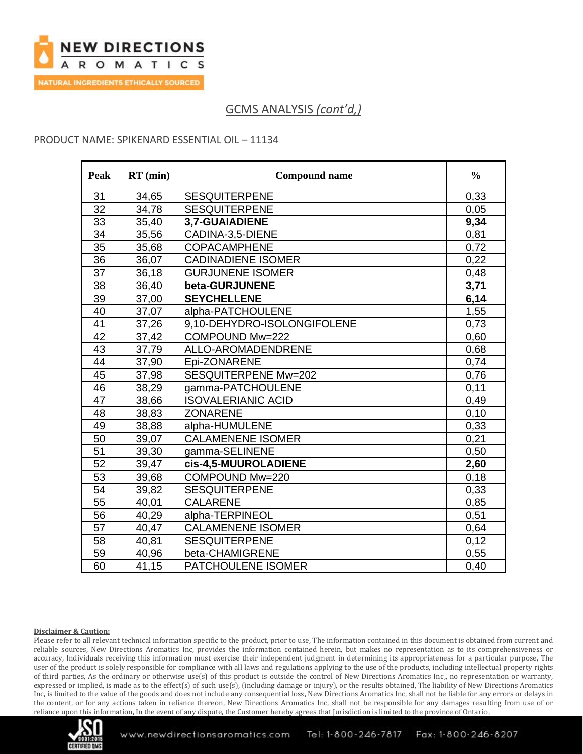

### PRODUCT NAME: SPIKENARD ESSENTIAL OIL – 11134

| Peak | $RT$ (min) | <b>Compound name</b>        | $\frac{0}{0}$ |
|------|------------|-----------------------------|---------------|
| 31   | 34,65      | <b>SESQUITERPENE</b>        | 0,33          |
| 32   | 34,78      | <b>SESQUITERPENE</b>        | 0.05          |
| 33   | 35,40      | 3,7-GUAIADIENE              | 9,34          |
| 34   | 35,56      | CADINA-3,5-DIENE            | 0,81          |
| 35   | 35,68      | <b>COPACAMPHENE</b>         | 0,72          |
| 36   | 36,07      | <b>CADINADIENE ISOMER</b>   | 0,22          |
| 37   | 36,18      | <b>GURJUNENE ISOMER</b>     | 0,48          |
| 38   | 36,40      | beta-GURJUNENE              | 3,71          |
| 39   | 37,00      | <b>SEYCHELLENE</b>          | 6,14          |
| 40   | 37,07      | alpha-PATCHOULENE           | 1,55          |
| 41   | 37,26      | 9,10-DEHYDRO-ISOLONGIFOLENE | 0,73          |
| 42   | 37,42      | COMPOUND Mw=222             | 0,60          |
| 43   | 37,79      | ALLO-AROMADENDRENE          | 0,68          |
| 44   | 37,90      | Epi-ZONARENE                | 0,74          |
| 45   | 37,98      | SESQUITERPENE Mw=202        | 0,76          |
| 46   | 38,29      | gamma-PATCHOULENE           | 0,11          |
| 47   | 38,66      | <b>ISOVALERIANIC ACID</b>   | 0,49          |
| 48   | 38,83      | <b>ZONARENE</b>             | 0,10          |
| 49   | 38,88      | alpha-HUMULENE              | 0,33          |
| 50   | 39,07      | <b>CALAMENENE ISOMER</b>    | 0,21          |
| 51   | 39,30      | gamma-SELINENE              | 0,50          |
| 52   | 39,47      | cis-4,5-MUUROLADIENE        | 2,60          |
| 53   | 39,68      | COMPOUND Mw=220             | 0,18          |
| 54   | 39,82      | <b>SESQUITERPENE</b>        | 0,33          |
| 55   | 40,01      | <b>CALARENE</b>             | 0,85          |
| 56   | 40,29      | alpha-TERPINEOL             | 0,51          |
| 57   | 40,47      | <b>CALAMENENE ISOMER</b>    | 0,64          |
| 58   | 40,81      | <b>SESQUITERPENE</b>        | 0,12          |
| 59   | 40,96      | beta-CHAMIGRENE             | 0,55          |
| 60   | 41,15      | PATCHOULENE ISOMER          | 0,40          |

#### **Disclaimer & Caution:**

Please refer to all relevant technical information specific to the product, prior to use, The information contained in this document is obtained from current and reliable sources, New Directions Aromatics Inc, provides the information contained herein, but makes no representation as to its comprehensiveness or accuracy, Individuals receiving this information must exercise their independent judgment in determining its appropriateness for a particular purpose, The user of the product is solely responsible for compliance with all laws and regulations applying to the use of the products, including intellectual property rights of third parties, As the ordinary or otherwise use(s) of this product is outside the control of New Directions Aromatics Inc,, no representation or warranty, expressed or implied, is made as to the effect(s) of such use(s), (including damage or injury), or the results obtained, The liability of New Directions Aromatics Inc, is limited to the value of the goods and does not include any consequential loss, New Directions Aromatics Inc, shall not be liable for any errors or delays in the content, or for any actions taken in reliance thereon, New Directions Aromatics Inc, shall not be responsible for any damages resulting from use of or reliance upon this information, In the event of any dispute, the Customer hereby agrees that Jurisdiction is limited to the province of Ontario,

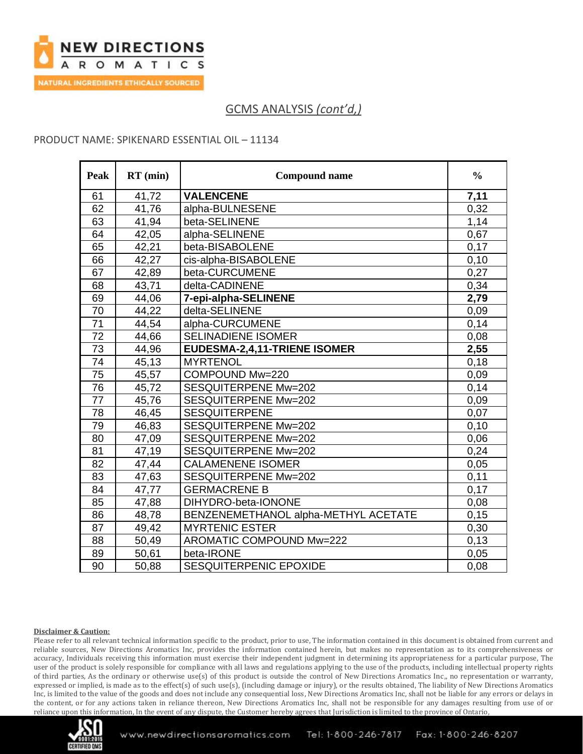

### PRODUCT NAME: SPIKENARD ESSENTIAL OIL – 11134

| Peak            | $RT$ (min) | <b>Compound name</b>                 | $\frac{0}{0}$ |
|-----------------|------------|--------------------------------------|---------------|
| 61              | 41,72      | <b>VALENCENE</b>                     | 7,11          |
| 62              | 41,76      | alpha-BULNESENE                      | 0,32          |
| 63              | 41,94      | beta-SELINENE                        | 1,14          |
| 64              | 42,05      | alpha-SELINENE                       | 0,67          |
| 65              | 42,21      | beta-BISABOLENE                      | 0,17          |
| 66              | 42,27      | cis-alpha-BISABOLENE                 | 0,10          |
| 67              | 42,89      | beta-CURCUMENE                       | 0,27          |
| 68              | 43,71      | delta-CADINENE                       | 0,34          |
| 69              | 44,06      | 7-epi-alpha-SELINENE                 | 2,79          |
| 70              | 44,22      | delta-SELINENE                       | 0,09          |
| 71              | 44,54      | alpha-CURCUMENE                      | 0,14          |
| 72              | 44,66      | <b>SELINADIENE ISOMER</b>            | 0,08          |
| $\overline{73}$ | 44,96      | EUDESMA-2,4,11-TRIENE ISOMER         | 2,55          |
| 74              | 45,13      | <b>MYRTENOL</b>                      | 0,18          |
| 75              | 45,57      | COMPOUND Mw=220                      | 0,09          |
| $\overline{76}$ | 45,72      | SESQUITERPENE Mw=202                 | 0,14          |
| 77              | 45,76      | SESQUITERPENE Mw=202                 | 0,09          |
| 78              | 46,45      | <b>SESQUITERPENE</b>                 | 0,07          |
| 79              | 46,83      | <b>SESQUITERPENE Mw=202</b>          | 0,10          |
| 80              | 47,09      | SESQUITERPENE Mw=202                 | 0,06          |
| 81              | 47,19      | <b>SESQUITERPENE Mw=202</b>          | 0,24          |
| 82              | 47,44      | <b>CALAMENENE ISOMER</b>             | 0,05          |
| 83              | 47,63      | SESQUITERPENE Mw=202                 | 0,11          |
| 84              | 47,77      | <b>GERMACRENE B</b>                  | 0,17          |
| 85              | 47,88      | DIHYDRO-beta-IONONE                  | 0,08          |
| 86              | 48,78      | BENZENEMETHANOL alpha-METHYL ACETATE | 0.15          |
| 87              | 49,42      | <b>MYRTENIC ESTER</b>                | 0,30          |
| 88              | 50,49      | AROMATIC COMPOUND Mw=222             | 0,13          |
| 89              | 50,61      | beta-IRONE                           | 0,05          |
| 90              | 50,88      | SESQUITERPENIC EPOXIDE               | 0,08          |

#### **Disclaimer & Caution:**

Please refer to all relevant technical information specific to the product, prior to use, The information contained in this document is obtained from current and reliable sources, New Directions Aromatics Inc, provides the information contained herein, but makes no representation as to its comprehensiveness or accuracy, Individuals receiving this information must exercise their independent judgment in determining its appropriateness for a particular purpose, The user of the product is solely responsible for compliance with all laws and regulations applying to the use of the products, including intellectual property rights of third parties, As the ordinary or otherwise use(s) of this product is outside the control of New Directions Aromatics Inc,, no representation or warranty, expressed or implied, is made as to the effect(s) of such use(s), (including damage or injury), or the results obtained, The liability of New Directions Aromatics Inc, is limited to the value of the goods and does not include any consequential loss, New Directions Aromatics Inc, shall not be liable for any errors or delays in the content, or for any actions taken in reliance thereon, New Directions Aromatics Inc, shall not be responsible for any damages resulting from use of or reliance upon this information, In the event of any dispute, the Customer hereby agrees that Jurisdiction is limited to the province of Ontario,

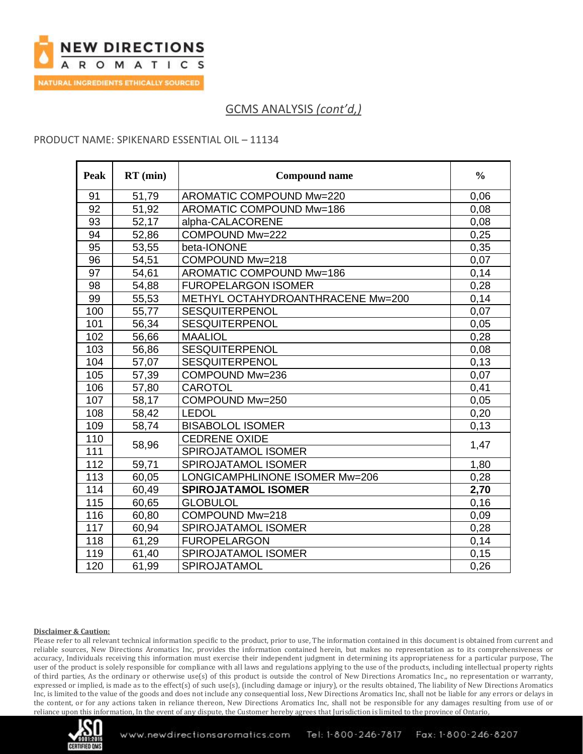

### PRODUCT NAME: SPIKENARD ESSENTIAL OIL – 11134

| Peak | $RT$ (min) | <b>Compound name</b>              | $\frac{0}{0}$ |
|------|------------|-----------------------------------|---------------|
| 91   | 51,79      | AROMATIC COMPOUND Mw=220          | 0,06          |
| 92   | 51,92      | AROMATIC COMPOUND Mw=186          | 0,08          |
| 93   | 52,17      | alpha-CALACORENE                  | 0,08          |
| 94   | 52,86      | COMPOUND Mw=222                   | 0,25          |
| 95   | 53,55      | beta-IONONE                       | 0,35          |
| 96   | 54,51      | COMPOUND Mw=218                   | 0,07          |
| 97   | 54,61      | AROMATIC COMPOUND Mw=186          | 0,14          |
| 98   | 54,88      | <b>FUROPELARGON ISOMER</b>        | 0,28          |
| 99   | 55,53      | METHYL OCTAHYDROANTHRACENE Mw=200 | 0,14          |
| 100  | 55,77      | <b>SESQUITERPENOL</b>             | 0,07          |
| 101  | 56,34      | SESQUITERPENOL                    | 0,05          |
| 102  | 56,66      | <b>MAALIOL</b>                    | 0,28          |
| 103  | 56,86      | <b>SESQUITERPENOL</b>             | 0.08          |
| 104  | 57,07      | <b>SESQUITERPENOL</b>             | 0,13          |
| 105  | 57,39      | COMPOUND Mw=236                   | 0,07          |
| 106  | 57,80      | CAROTOL                           | 0,41          |
| 107  | 58,17      | COMPOUND Mw=250                   | 0,05          |
| 108  | 58,42      | <b>LEDOL</b>                      | 0,20          |
| 109  | 58,74      | <b>BISABOLOL ISOMER</b>           | 0,13          |
| 110  | 58,96      | <b>CEDRENE OXIDE</b>              |               |
| 111  |            | SPIROJATAMOL ISOMER               | 1,47          |
| 112  | 59,71      | <b>SPIROJATAMOL ISOMER</b>        | 1,80          |
| 113  | 60,05      | LONGICAMPHLINONE ISOMER Mw=206    | 0,28          |
| 114  | 60,49      | <b>SPIROJATAMOL ISOMER</b>        | 2,70          |
| 115  | 60,65      | <b>GLOBULOL</b>                   | 0, 16         |
| 116  | 60,80      | COMPOUND Mw=218                   | 0,09          |
| 117  | 60,94      | SPIROJATAMOL ISOMER               | 0,28          |
| 118  | 61,29      | <b>FUROPELARGON</b>               | 0,14          |
| 119  | 61,40      | SPIROJATAMOL ISOMER               | 0,15          |
| 120  | 61,99      | SPIROJATAMOL                      | 0,26          |

#### **Disclaimer & Caution:**

Please refer to all relevant technical information specific to the product, prior to use, The information contained in this document is obtained from current and reliable sources, New Directions Aromatics Inc, provides the information contained herein, but makes no representation as to its comprehensiveness or accuracy, Individuals receiving this information must exercise their independent judgment in determining its appropriateness for a particular purpose, The user of the product is solely responsible for compliance with all laws and regulations applying to the use of the products, including intellectual property rights of third parties, As the ordinary or otherwise use(s) of this product is outside the control of New Directions Aromatics Inc,, no representation or warranty, expressed or implied, is made as to the effect(s) of such use(s), (including damage or injury), or the results obtained, The liability of New Directions Aromatics Inc, is limited to the value of the goods and does not include any consequential loss, New Directions Aromatics Inc, shall not be liable for any errors or delays in the content, or for any actions taken in reliance thereon, New Directions Aromatics Inc, shall not be responsible for any damages resulting from use of or reliance upon this information, In the event of any dispute, the Customer hereby agrees that Jurisdiction is limited to the province of Ontario,

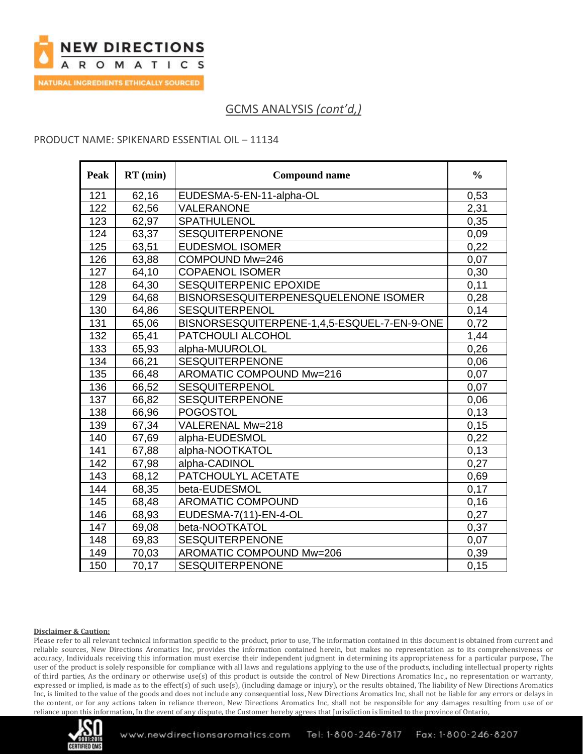

### PRODUCT NAME: SPIKENARD ESSENTIAL OIL – 11134

| <b>Peak</b> | $RT$ (min) | <b>Compound name</b>                        | $\frac{0}{0}$ |
|-------------|------------|---------------------------------------------|---------------|
| 121         | 62,16      | EUDESMA-5-EN-11-alpha-OL                    | 0,53          |
| 122         | 62,56      | VALERANONE                                  | 2,31          |
| 123         | 62,97      | SPATHULENOL                                 | 0,35          |
| 124         | 63,37      | <b>SESQUITERPENONE</b>                      | 0,09          |
| 125         | 63,51      | <b>EUDESMOL ISOMER</b>                      | 0,22          |
| 126         | 63,88      | COMPOUND Mw=246                             | 0,07          |
| 127         | 64,10      | <b>COPAENOL ISOMER</b>                      | 0,30          |
| 128         | 64,30      | SESQUITERPENIC EPOXIDE                      | 0,11          |
| 129         | 64,68      | BISNORSESQUITERPENESQUELENONE ISOMER        | 0,28          |
| 130         | 64,86      | <b>SESQUITERPENOL</b>                       | 0,14          |
| 131         | 65,06      | BISNORSESQUITERPENE-1,4,5-ESQUEL-7-EN-9-ONE | 0,72          |
| 132         | 65,41      | PATCHOULI ALCOHOL                           | 1,44          |
| 133         | 65,93      | alpha-MUUROLOL                              | 0,26          |
| 134         | 66,21      | <b>SESQUITERPENONE</b>                      | 0,06          |
| 135         | 66,48      | AROMATIC COMPOUND Mw=216                    | 0,07          |
| 136         | 66,52      | <b>SESQUITERPENOL</b>                       | 0,07          |
| 137         | 66,82      | SESQUITERPENONE                             | 0,06          |
| 138         | 66,96      | <b>POGOSTOL</b>                             | 0,13          |
| 139         | 67,34      | VALERENAL Mw=218                            | 0,15          |
| 140         | 67,69      | alpha-EUDESMOL                              | 0,22          |
| 141         | 67,88      | alpha-NOOTKATOL                             | 0,13          |
| 142         | 67,98      | alpha-CADINOL                               | 0,27          |
| 143         | 68,12      | PATCHOULYL ACETATE                          | 0,69          |
| 144         | 68,35      | beta-EUDESMOL                               | 0,17          |
| 145         | 68,48      | <b>AROMATIC COMPOUND</b>                    | 0,16          |
| 146         | 68,93      | EUDESMA-7(11)-EN-4-OL                       | 0,27          |
| 147         | 69,08      | beta-NOOTKATOL                              | 0,37          |
| 148         | 69,83      | <b>SESQUITERPENONE</b>                      | 0,07          |
| 149         | 70,03      | AROMATIC COMPOUND Mw=206                    | 0,39          |
| 150         | 70,17      | <b>SESQUITERPENONE</b>                      | 0,15          |

#### **Disclaimer & Caution:**

Please refer to all relevant technical information specific to the product, prior to use, The information contained in this document is obtained from current and reliable sources, New Directions Aromatics Inc, provides the information contained herein, but makes no representation as to its comprehensiveness or accuracy, Individuals receiving this information must exercise their independent judgment in determining its appropriateness for a particular purpose, The user of the product is solely responsible for compliance with all laws and regulations applying to the use of the products, including intellectual property rights of third parties, As the ordinary or otherwise use(s) of this product is outside the control of New Directions Aromatics Inc,, no representation or warranty, expressed or implied, is made as to the effect(s) of such use(s), (including damage or injury), or the results obtained, The liability of New Directions Aromatics Inc, is limited to the value of the goods and does not include any consequential loss, New Directions Aromatics Inc, shall not be liable for any errors or delays in the content, or for any actions taken in reliance thereon, New Directions Aromatics Inc, shall not be responsible for any damages resulting from use of or reliance upon this information, In the event of any dispute, the Customer hereby agrees that Jurisdiction is limited to the province of Ontario,